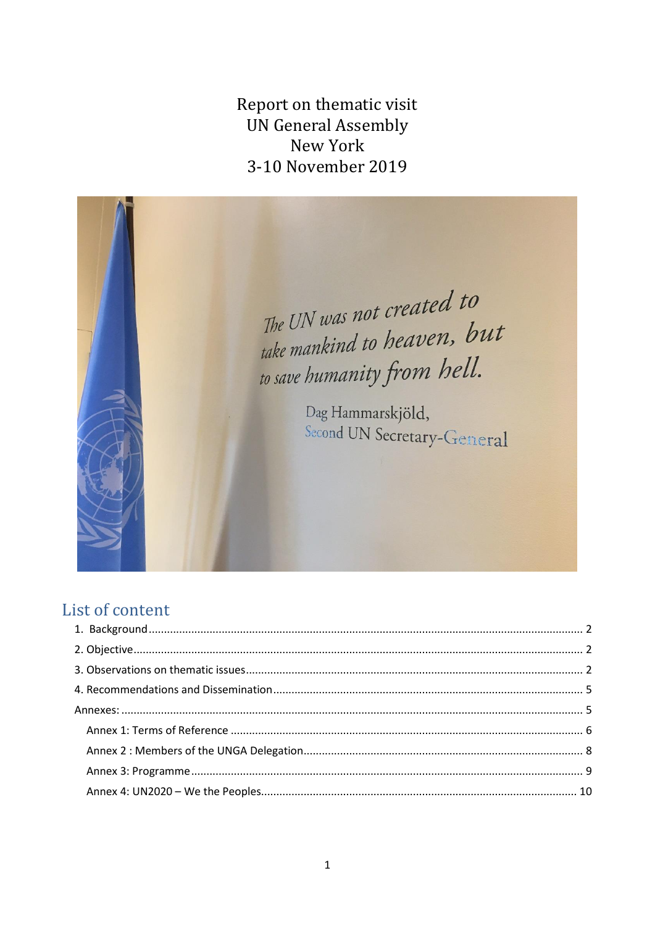Report on thematic visit **UN General Assembly** New York 3-10 November 2019



# List of content

<span id="page-0-0"></span>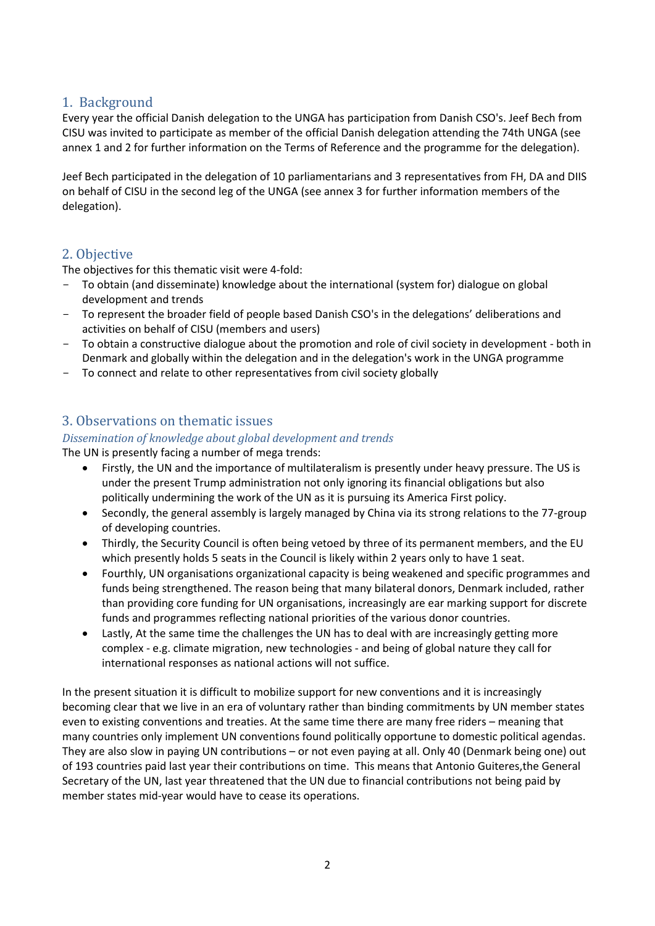# 1. Background

Every year the official Danish delegation to the UNGA has participation from Danish CSO's. Jeef Bech from CISU was invited to participate as member of the official Danish delegation attending the 74th UNGA (see annex 1 and 2 for further information on the Terms of Reference and the programme for the delegation).

Jeef Bech participated in the delegation of 10 parliamentarians and 3 representatives from FH, DA and DIIS on behalf of CISU in the second leg of the UNGA (see annex 3 for further information members of the delegation).

# <span id="page-1-0"></span>2. Objective

The objectives for this thematic visit were 4-fold:

- To obtain (and disseminate) knowledge about the international (system for) dialogue on global development and trends
- To represent the broader field of people based Danish CSO's in the delegations' deliberations and activities on behalf of CISU (members and users)
- To obtain a constructive dialogue about the promotion and role of civil society in development both in Denmark and globally within the delegation and in the delegation's work in the UNGA programme
- To connect and relate to other representatives from civil society globally

# <span id="page-1-1"></span>3. Observations on thematic issues

# *Dissemination of knowledge about global development and trends*

The UN is presently facing a number of mega trends:

- Firstly, the UN and the importance of multilateralism is presently under heavy pressure. The US is under the present Trump administration not only ignoring its financial obligations but also politically undermining the work of the UN as it is pursuing its America First policy.
- Secondly, the general assembly is largely managed by China via its strong relations to the 77-group of developing countries.
- Thirdly, the Security Council is often being vetoed by three of its permanent members, and the EU which presently holds 5 seats in the Council is likely within 2 years only to have 1 seat.
- Fourthly, UN organisations organizational capacity is being weakened and specific programmes and funds being strengthened. The reason being that many bilateral donors, Denmark included, rather than providing core funding for UN organisations, increasingly are ear marking support for discrete funds and programmes reflecting national priorities of the various donor countries.
- Lastly, At the same time the challenges the UN has to deal with are increasingly getting more complex - e.g. climate migration, new technologies - and being of global nature they call for international responses as national actions will not suffice.

In the present situation it is difficult to mobilize support for new conventions and it is increasingly becoming clear that we live in an era of voluntary rather than binding commitments by UN member states even to existing conventions and treaties. At the same time there are many free riders – meaning that many countries only implement UN conventions found politically opportune to domestic political agendas. They are also slow in paying UN contributions – or not even paying at all. Only 40 (Denmark being one) out of 193 countries paid last year their contributions on time. This means that Antonio Guiteres,the General Secretary of the UN, last year threatened that the UN due to financial contributions not being paid by member states mid-year would have to cease its operations.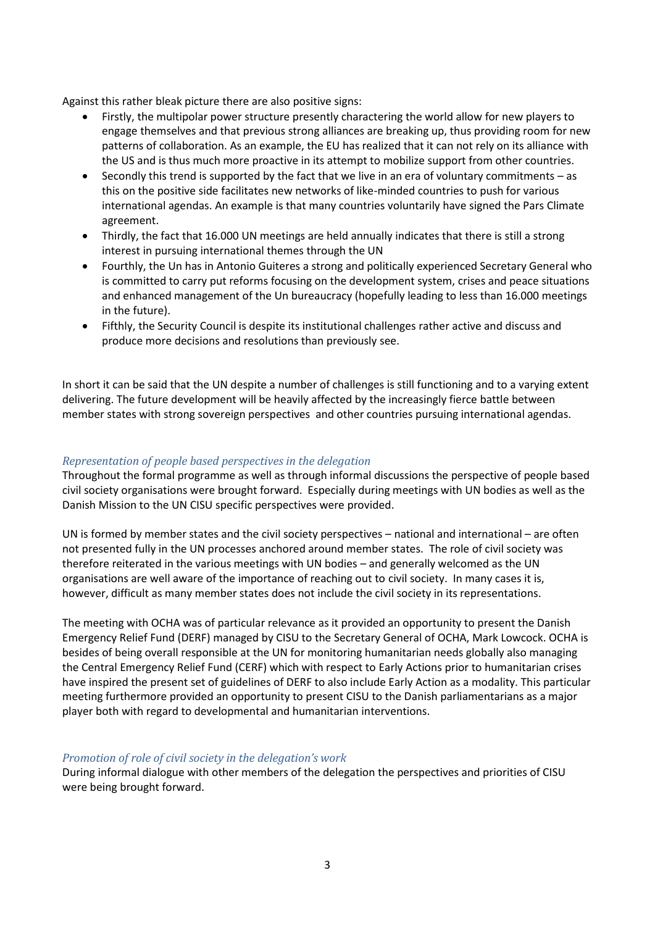Against this rather bleak picture there are also positive signs:

- Firstly, the multipolar power structure presently charactering the world allow for new players to engage themselves and that previous strong alliances are breaking up, thus providing room for new patterns of collaboration. As an example, the EU has realized that it can not rely on its alliance with the US and is thus much more proactive in its attempt to mobilize support from other countries.
- Secondly this trend is supported by the fact that we live in an era of voluntary commitments as this on the positive side facilitates new networks of like-minded countries to push for various international agendas. An example is that many countries voluntarily have signed the Pars Climate agreement.
- Thirdly, the fact that 16.000 UN meetings are held annually indicates that there is still a strong interest in pursuing international themes through the UN
- Fourthly, the Un has in Antonio Guiteres a strong and politically experienced Secretary General who is committed to carry put reforms focusing on the development system, crises and peace situations and enhanced management of the Un bureaucracy (hopefully leading to less than 16.000 meetings in the future).
- Fifthly, the Security Council is despite its institutional challenges rather active and discuss and produce more decisions and resolutions than previously see.

In short it can be said that the UN despite a number of challenges is still functioning and to a varying extent delivering. The future development will be heavily affected by the increasingly fierce battle between member states with strong sovereign perspectives and other countries pursuing international agendas.

### *Representation of people based perspectives in the delegation*

Throughout the formal programme as well as through informal discussions the perspective of people based civil society organisations were brought forward. Especially during meetings with UN bodies as well as the Danish Mission to the UN CISU specific perspectives were provided.

UN is formed by member states and the civil society perspectives – national and international – are often not presented fully in the UN processes anchored around member states. The role of civil society was therefore reiterated in the various meetings with UN bodies – and generally welcomed as the UN organisations are well aware of the importance of reaching out to civil society. In many cases it is, however, difficult as many member states does not include the civil society in its representations.

The meeting with OCHA was of particular relevance as it provided an opportunity to present the Danish Emergency Relief Fund (DERF) managed by CISU to the Secretary General of OCHA, Mark Lowcock. OCHA is besides of being overall responsible at the UN for monitoring humanitarian needs globally also managing the Central Emergency Relief Fund (CERF) which with respect to Early Actions prior to humanitarian crises have inspired the present set of guidelines of DERF to also include Early Action as a modality. This particular meeting furthermore provided an opportunity to present CISU to the Danish parliamentarians as a major player both with regard to developmental and humanitarian interventions.

### *Promotion of role of civil society in the delegation's work*

During informal dialogue with other members of the delegation the perspectives and priorities of CISU were being brought forward.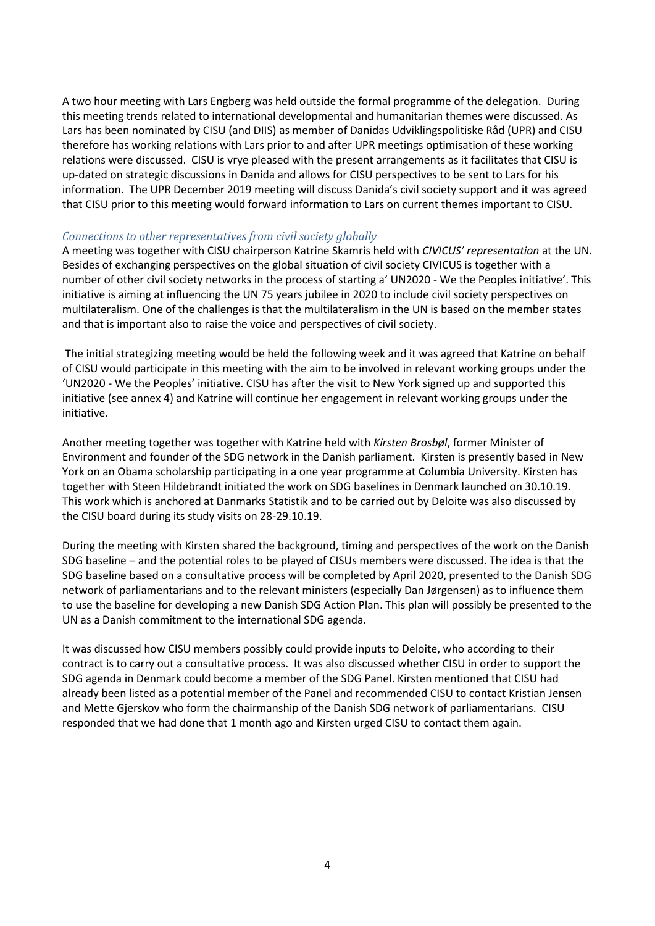A two hour meeting with Lars Engberg was held outside the formal programme of the delegation. During this meeting trends related to international developmental and humanitarian themes were discussed. As Lars has been nominated by CISU (and DIIS) as member of Danidas Udviklingspolitiske Råd (UPR) and CISU therefore has working relations with Lars prior to and after UPR meetings optimisation of these working relations were discussed. CISU is vrye pleased with the present arrangements as it facilitates that CISU is up-dated on strategic discussions in Danida and allows for CISU perspectives to be sent to Lars for his information. The UPR December 2019 meeting will discuss Danida's civil society support and it was agreed that CISU prior to this meeting would forward information to Lars on current themes important to CISU.

### *Connections to other representatives from civil society globally*

A meeting was together with CISU chairperson Katrine Skamris held with *CIVICUS' representation* at the UN. Besides of exchanging perspectives on the global situation of civil society CIVICUS is together with a number of other civil society networks in the process of starting a' UN2020 - We the Peoples initiative'. This initiative is aiming at influencing the UN 75 years jubilee in 2020 to include civil society perspectives on multilateralism. One of the challenges is that the multilateralism in the UN is based on the member states and that is important also to raise the voice and perspectives of civil society.

The initial strategizing meeting would be held the following week and it was agreed that Katrine on behalf of CISU would participate in this meeting with the aim to be involved in relevant working groups under the 'UN2020 - We the Peoples' initiative. CISU has after the visit to New York signed up and supported this initiative (see annex 4) and Katrine will continue her engagement in relevant working groups under the initiative.

Another meeting together was together with Katrine held with *Kirsten Brosbøl*, former Minister of Environment and founder of the SDG network in the Danish parliament. Kirsten is presently based in New York on an Obama scholarship participating in a one year programme at Columbia University. Kirsten has together with Steen Hildebrandt initiated the work on SDG baselines in Denmark launched on 30.10.19. This work which is anchored at Danmarks Statistik and to be carried out by Deloite was also discussed by the CISU board during its study visits on 28-29.10.19.

During the meeting with Kirsten shared the background, timing and perspectives of the work on the Danish SDG baseline – and the potential roles to be played of CISUs members were discussed. The idea is that the SDG baseline based on a consultative process will be completed by April 2020, presented to the Danish SDG network of parliamentarians and to the relevant ministers (especially Dan Jørgensen) as to influence them to use the baseline for developing a new Danish SDG Action Plan. This plan will possibly be presented to the UN as a Danish commitment to the international SDG agenda.

It was discussed how CISU members possibly could provide inputs to Deloite, who according to their contract is to carry out a consultative process. It was also discussed whether CISU in order to support the SDG agenda in Denmark could become a member of the SDG Panel. Kirsten mentioned that CISU had already been listed as a potential member of the Panel and recommended CISU to contact Kristian Jensen and Mette Gjerskov who form the chairmanship of the Danish SDG network of parliamentarians. CISU responded that we had done that 1 month ago and Kirsten urged CISU to contact them again.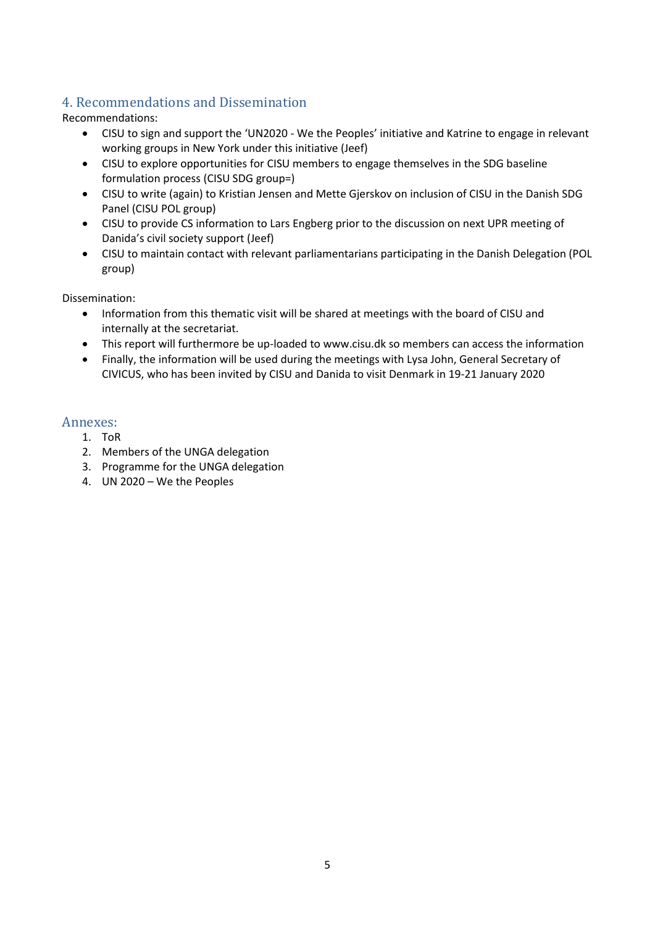# <span id="page-4-0"></span>4. Recommendations and Dissemination

Recommendations:

- CISU to sign and support the 'UN2020 We the Peoples' initiative and Katrine to engage in relevant working groups in New York under this initiative (Jeef)
- CISU to explore opportunities for CISU members to engage themselves in the SDG baseline formulation process (CISU SDG group=)
- CISU to write (again) to Kristian Jensen and Mette Gjerskov on inclusion of CISU in the Danish SDG Panel (CISU POL group)
- CISU to provide CS information to Lars Engberg prior to the discussion on next UPR meeting of Danida's civil society support (Jeef)
- CISU to maintain contact with relevant parliamentarians participating in the Danish Delegation (POL group)

Dissemination:

- Information from this thematic visit will be shared at meetings with the board of CISU and internally at the secretariat.
- This report will furthermore be up-loaded to [www.cisu.dk](http://www.cisu.dk/) so members can access the information
- Finally, the information will be used during the meetings with Lysa John, General Secretary of CIVICUS, who has been invited by CISU and Danida to visit Denmark in 19-21 January 2020

# <span id="page-4-1"></span>Annexes:

- 1. ToR
- 2. Members of the UNGA delegation
- 3. Programme for the UNGA delegation
- 4. UN 2020 We the Peoples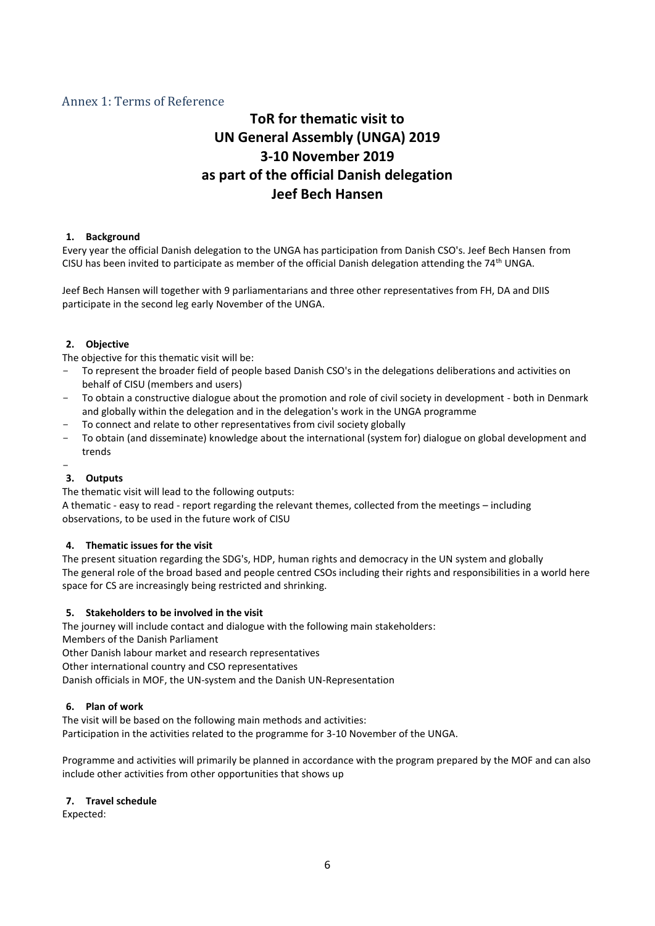## <span id="page-5-0"></span>Annex 1: Terms of Reference

# **ToR for thematic visit to UN General Assembly (UNGA) 2019 3-10 November 2019 as part of the official Danish delegation Jeef Bech Hansen**

### **1. Background**

Every year the official Danish delegation to the UNGA has participation from Danish CSO's. Jeef Bech Hansen from CISU has been invited to participate as member of the official Danish delegation attending the 74<sup>th</sup> UNGA.

Jeef Bech Hansen will together with 9 parliamentarians and three other representatives from FH, DA and DIIS participate in the second leg early November of the UNGA.

#### **2. Objective**

The objective for this thematic visit will be:

- To represent the broader field of people based Danish CSO's in the delegations deliberations and activities on behalf of CISU (members and users)
- To obtain a constructive dialogue about the promotion and role of civil society in development both in Denmark and globally within the delegation and in the delegation's work in the UNGA programme
- To connect and relate to other representatives from civil society globally
- To obtain (and disseminate) knowledge about the international (system for) dialogue on global development and trends

#### - **3. Outputs**

The thematic visit will lead to the following outputs:

A thematic - easy to read - report regarding the relevant themes, collected from the meetings – including observations, to be used in the future work of CISU

#### **4. Thematic issues for the visit**

The present situation regarding the SDG's, HDP, human rights and democracy in the UN system and globally The general role of the broad based and people centred CSOs including their rights and responsibilities in a world here space for CS are increasingly being restricted and shrinking.

#### **5. Stakeholders to be involved in the visit**

The journey will include contact and dialogue with the following main stakeholders:

Members of the Danish Parliament

Other Danish labour market and research representatives

Other international country and CSO representatives

Danish officials in MOF, the UN-system and the Danish UN-Representation

#### **6. Plan of work**

The visit will be based on the following main methods and activities: Participation in the activities related to the programme for 3-10 November of the UNGA.

Programme and activities will primarily be planned in accordance with the program prepared by the MOF and can also include other activities from other opportunities that shows up

#### **7. Travel schedule**

Expected: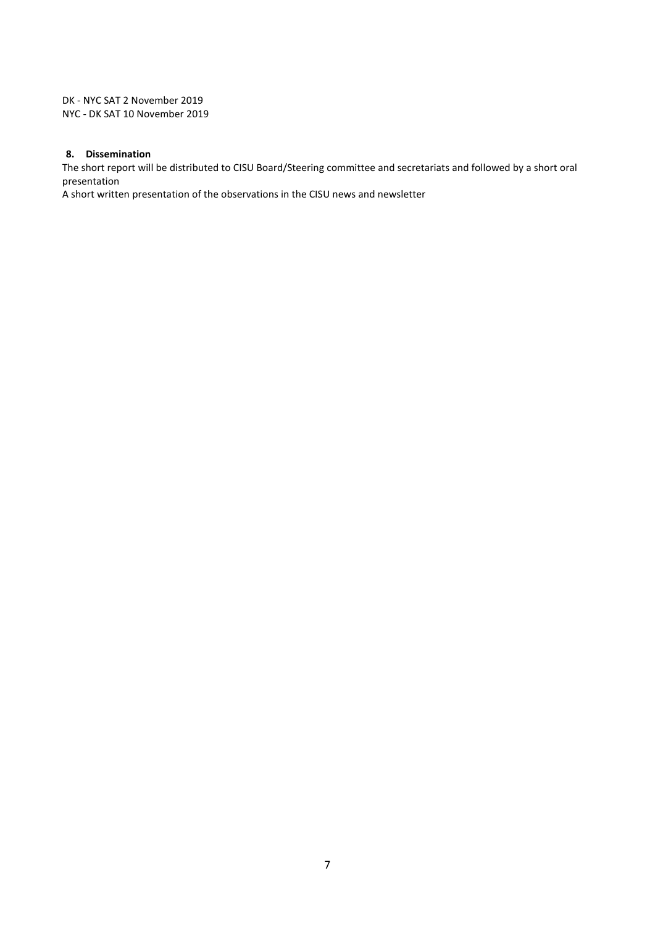DK - NYC SAT 2 November 2019 NYC - DK SAT 10 November 2019

### **8. Dissemination**

The short report will be distributed to CISU Board/Steering committee and secretariats and followed by a short oral presentation

A short written presentation of the observations in the CISU news and newsletter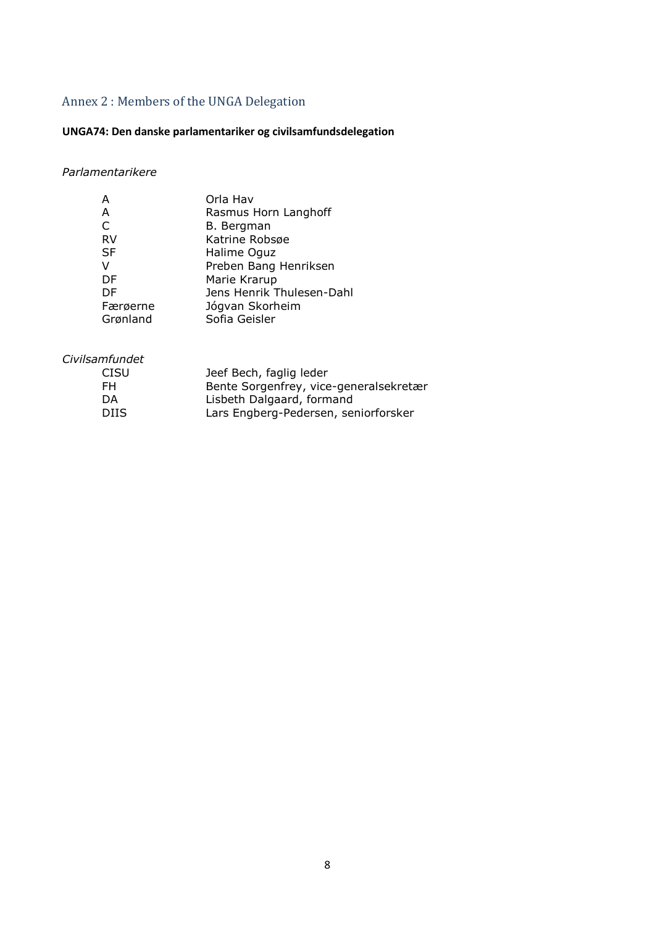# <span id="page-7-0"></span>Annex 2 : Members of the UNGA Delegation

# **UNGA74: Den danske parlamentariker og civilsamfundsdelegation**

# *Parlamentarikere*

| А         | Orla Hav                  |
|-----------|---------------------------|
| A         | Rasmus Horn Langhoff      |
| C         | B. Bergman                |
| <b>RV</b> | Katrine Robsøe            |
| <b>SF</b> | Halime Oguz               |
| v         | Preben Bang Henriksen     |
| DF        | Marie Krarup              |
| DF        | Jens Henrik Thulesen-Dahl |
| Færøerne  | Jógvan Skorheim           |
| Grønland  | Sofia Geisler             |

## *Civilsamfundet*

| <b>CISU</b> | Jeef Bech, faglig leder                |
|-------------|----------------------------------------|
| FH.         | Bente Sorgenfrey, vice-generalsekretær |
| DA.         | Lisbeth Dalgaard, formand              |
| DIIS.       | Lars Engberg-Pedersen, seniorforsker   |
|             |                                        |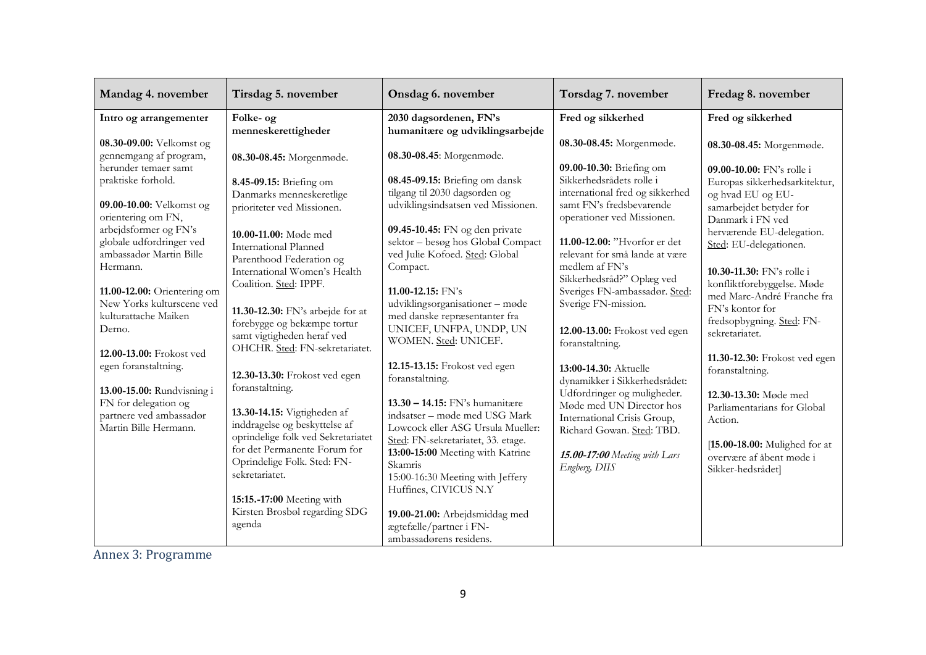| Mandag 4. november                                                                                                                                                                                                                                                                                                                                                                                                                                                                                                                   | Tirsdag 5. november                                                                                                                                                                                                                                                                                                                                                                                                                                                                                                                                                                                                                                                            | Onsdag 6. november                                                                                                                                                                                                                                                                                                                                                                                                                                                                                                                                                                                                                                                                                                                                        | Torsdag 7. november                                                                                                                                                                                                                                                                                                                                                                                                                                                                                                                                                                                                                                                | Fredag 8. november                                                                                                                                                                                                                                                                                                                                                                                                                                                                                                                                                                                         |
|--------------------------------------------------------------------------------------------------------------------------------------------------------------------------------------------------------------------------------------------------------------------------------------------------------------------------------------------------------------------------------------------------------------------------------------------------------------------------------------------------------------------------------------|--------------------------------------------------------------------------------------------------------------------------------------------------------------------------------------------------------------------------------------------------------------------------------------------------------------------------------------------------------------------------------------------------------------------------------------------------------------------------------------------------------------------------------------------------------------------------------------------------------------------------------------------------------------------------------|-----------------------------------------------------------------------------------------------------------------------------------------------------------------------------------------------------------------------------------------------------------------------------------------------------------------------------------------------------------------------------------------------------------------------------------------------------------------------------------------------------------------------------------------------------------------------------------------------------------------------------------------------------------------------------------------------------------------------------------------------------------|--------------------------------------------------------------------------------------------------------------------------------------------------------------------------------------------------------------------------------------------------------------------------------------------------------------------------------------------------------------------------------------------------------------------------------------------------------------------------------------------------------------------------------------------------------------------------------------------------------------------------------------------------------------------|------------------------------------------------------------------------------------------------------------------------------------------------------------------------------------------------------------------------------------------------------------------------------------------------------------------------------------------------------------------------------------------------------------------------------------------------------------------------------------------------------------------------------------------------------------------------------------------------------------|
| Intro og arrangementer<br>08.30-09.00: Velkomst og<br>gennemgang af program,<br>herunder temaer samt<br>praktiske forhold.<br>09.00-10.00: Velkomst og<br>orientering om FN,<br>arbejdsformer og FN's<br>globale udfordringer ved<br>ambassadør Martin Bille<br>Hermann.<br>11.00-12.00: Orientering om<br>New Yorks kulturscene ved<br>kulturattache Maiken<br>Derno.<br>12.00-13.00: Frokost ved<br>egen foranstaltning.<br>13.00-15.00: Rundvisning i<br>FN for delegation og<br>partnere ved ambassadør<br>Martin Bille Hermann. | Folke- og<br>menneskerettigheder<br>08.30-08.45: Morgenmøde.<br>8.45-09.15: Briefing om<br>Danmarks menneskeretlige<br>prioriteter ved Missionen.<br>10.00-11.00: Møde med<br><b>International Planned</b><br>Parenthood Federation og<br>International Women's Health<br>Coalition. Sted: IPPF.<br>11.30-12.30: FN's arbejde for at<br>forebygge og bekæmpe tortur<br>samt vigtigheden heraf ved<br>OHCHR. Sted: FN-sekretariatet.<br>12.30-13.30: Frokost ved egen<br>foranstaltning.<br>13.30-14.15: Vigtigheden af<br>inddragelse og beskyttelse af<br>oprindelige folk ved Sekretariatet<br>for det Permanente Forum for<br>Oprindelige Folk. Sted: FN-<br>sekretariatet. | 2030 dagsordenen, FN's<br>humanitære og udviklingsarbejde<br>08.30-08.45: Morgenmøde.<br>08.45-09.15: Briefing om dansk<br>tilgang til 2030 dagsorden og<br>udviklingsindsatsen ved Missionen.<br>09.45-10.45: FN og den private<br>sektor - besøg hos Global Compact<br>ved Julie Kofoed. Sted: Global<br>Compact.<br>11.00-12.15: $FN's$<br>udviklingsorganisationer - møde<br>med danske repræsentanter fra<br>UNICEF, UNFPA, UNDP, UN<br>WOMEN. Sted: UNICEF.<br>12.15-13.15: Frokost ved egen<br>foranstaltning.<br>$13.30 - 14.15$ : FN's humanitære<br>indsatser – møde med USG Mark<br>Lowcock eller ASG Ursula Mueller:<br>Sted: FN-sekretariatet, 33. etage.<br>13:00-15:00 Meeting with Katrine<br>Skamris<br>15:00-16:30 Meeting with Jeffery | Fred og sikkerhed<br>08.30-08.45: Morgenmøde.<br>09.00-10.30: Briefing om<br>Sikkerhedsrådets rolle i<br>international fred og sikkerhed<br>samt FN's fredsbevarende<br>operationer ved Missionen.<br>11.00-12.00: "Hvorfor er det<br>relevant for små lande at være<br>medlem af FN's<br>Sikkerhedsråd?" Oplæg ved<br>Sveriges FN-ambassadør. Sted:<br>Sverige FN-mission.<br>12.00-13.00: Frokost ved egen<br>foranstaltning.<br>13:00-14.30: Aktuelle<br>dynamikker i Sikkerhedsrådet:<br>Udfordringer og muligheder.<br>Møde med UN Director hos<br>International Crisis Group,<br>Richard Gowan. Sted: TBD.<br>15.00-17:00 Meeting with Lars<br>Engberg, DIIS | Fred og sikkerhed<br>08.30-08.45: Morgenmøde.<br>09.00-10.00: FN's rolle i<br>Europas sikkerhedsarkitektur,<br>og hvad EU og EU-<br>samarbejdet betyder for<br>Danmark i FN ved<br>herværende EU-delegation.<br>Sted: EU-delegationen.<br>10.30-11.30: FN's rolle i<br>konfliktforebyggelse. Møde<br>med Marc-André Franche fra<br>FN's kontor for<br>fredsopbygning. Sted: FN-<br>sekretariatet.<br>11.30-12.30: Frokost ved egen<br>foranstaltning.<br>12.30-13.30: Møde med<br>Parliamentarians for Global<br>Action.<br>[15.00-18.00: Mulighed for at<br>overvære af åbent møde i<br>Sikker-hedsrådet] |
|                                                                                                                                                                                                                                                                                                                                                                                                                                                                                                                                      | 15:15.-17:00 Meeting with<br>Kirsten Brosbøl regarding SDG<br>agenda                                                                                                                                                                                                                                                                                                                                                                                                                                                                                                                                                                                                           | Huffines, CIVICUS N.Y<br>19.00-21.00: Arbejdsmiddag med<br>ægtefælle/partner i FN-<br>ambassadørens residens.                                                                                                                                                                                                                                                                                                                                                                                                                                                                                                                                                                                                                                             |                                                                                                                                                                                                                                                                                                                                                                                                                                                                                                                                                                                                                                                                    |                                                                                                                                                                                                                                                                                                                                                                                                                                                                                                                                                                                                            |

<span id="page-8-0"></span>Annex 3: Programme